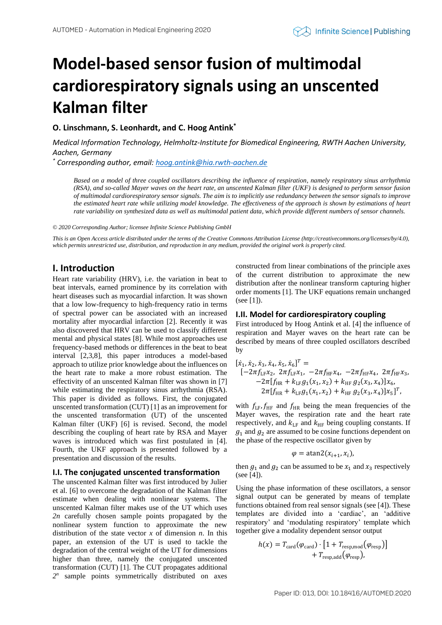# **Model-based sensor fusion of multimodal cardiorespiratory signals using an unscented Kalman filter**

**O. Linschmann, S. Leonhardt, and C. Hoog Antink\***

*Medical Information Technology, Helmholtz-Institute for Biomedical Engineering, RWTH Aachen University, Aachen, Germany*

*\* Corresponding author, email[: hoog.antink@hia.rwth-aachen.de](mailto:hoog.antink@hia.rwth-aachen.de)*

*Based on a model of three coupled oscillators describing the influence of respiration, namely respiratory sinus arrhythmia (RSA), and so-called Mayer waves on the heart rate, an unscented Kalman filter (UKF) is designed to perform sensor fusion of multimodal cardiorespiratory sensor signals. The aim is to implicitly use redundancy between the sensor signals to improve the estimated heart rate while utilizing model knowledge. The effectiveness of the approach is shown by estimations of heart rate variability on synthesized data as well as multimodal patient data, which provide different numbers of sensor channels.*

*© 2020 Corresponding Author; licensee Infinite Science Publishing GmbH*

*This is an Open Access article distributed under the terms of the Creative Commons Attribution License (http://creativecommons.org/licenses/by/4.0), which permits unrestricted use, distribution, and reproduction in any medium, provided the original work is properly cited.*

## **I. Introduction**

Heart rate variability (HRV), i.e. the variation in beat to beat intervals, earned prominence by its correlation with heart diseases such as myocardial infarction. It was shown that a low low-frequency to high-frequency ratio in terms of spectral power can be associated with an increased mortality after myocardial infarction [2]. Recently it was also discovered that HRV can be used to classify different mental and physical states [8]. While most approaches use frequency-based methods or differences in the beat to beat interval [2,3,8], this paper introduces a model-based approach to utilize prior knowledge about the influences on the heart rate to make a more robust estimation. The effectivity of an unscented Kalman filter was shown in [7] while estimating the respiratory sinus arrhythmia (RSA). This paper is divided as follows. First, the conjugated unscented transformation (CUT) [1] as an improvement for the unscented transformation (UT) of the unscented Kalman filter (UKF) [6] is revised. Second, the model describing the coupling of heart rate by RSA and Mayer waves is introduced which was first postulated in [4]. Fourth, the UKF approach is presented followed by a presentation and discussion of the results.

#### **I.I. The conjugated unscented transformation**

The unscented Kalman filter was first introduced by Julier et al. [6] to overcome the degradation of the Kalman filter estimate when dealing with nonlinear systems. The unscented Kalman filter makes use of the UT which uses *2n* carefully chosen sample points propagated by the nonlinear system function to approximate the new distribution of the state vector  $x$  of dimension  $n$ . In this paper, an extension of the UT is used to tackle the degradation of the central weight of the UT for dimensions higher than three, namely the conjugated unscented transformation (CUT) [1]. The CUT propagates additional *2 n* sample points symmetrically distributed on axes constructed from linear combinations of the principle axes of the current distribution to approximate the new distribution after the nonlinear transform capturing higher order moments [1]. The UKF equations remain unchanged (see [1]).

### **I.II. Model for cardiorespiratory coupling**

First introduced by Hoog Antink et al. [4] the influence of respiration and Mayer waves on the heart rate can be described by means of three coupled oscillators described by

$$
[\dot{x}_1, \dot{x}_2, \dot{x}_3, \dot{x}_4, \dot{x}_5, \dot{x}_6]^T =
$$
  
\n
$$
[-2\pi f_{LF}x_2, 2\pi f_{LF}x_1, -2\pi f_{HF}x_4, -2\pi f_{HF}x_4, 2\pi f_{HF}x_3, -2\pi f_{HF} + k_{LF}g_1(x_1, x_2) + k_{HF}g_2(x_3, x_4)]x_6,
$$
  
\n
$$
2\pi [f_{HR} + k_{LF}g_1(x_1, x_2) + k_{HF}g_2(x_3, x_4)]x_5]^T,
$$

with  $f_{LF}$ ,  $f_{HF}$  and  $f_{HR}$  being the mean frequencies of the Mayer waves, the respiration rate and the heart rate respectively, and  $k_{\text{LF}}$  and  $k_{\text{HF}}$  being coupling constants. If  $g_1$  and  $g_2$  are assumed to be cosine functions dependent on the phase of the respective oscillator given by

$$
\varphi = \operatorname{atan2}(x_{i+1}, x_i),
$$

then  $g_1$  and  $g_2$  can be assumed to be  $x_1$  and  $x_3$  respectively (see [4]).

Using the phase information of these oscillators, a sensor signal output can be generated by means of template functions obtained from real sensor signals (see [4]). These templates are divided into a 'cardiac', an 'additive respiratory' and 'modulating respiratory' template which together give a modality dependent sensor output

$$
h(x) = T_{\text{card}}(\varphi_{\text{card}}) \cdot [1 + T_{\text{resp,mod}}(\varphi_{\text{resp}})] + T_{\text{resp,add}}(\varphi_{\text{resp}}),
$$